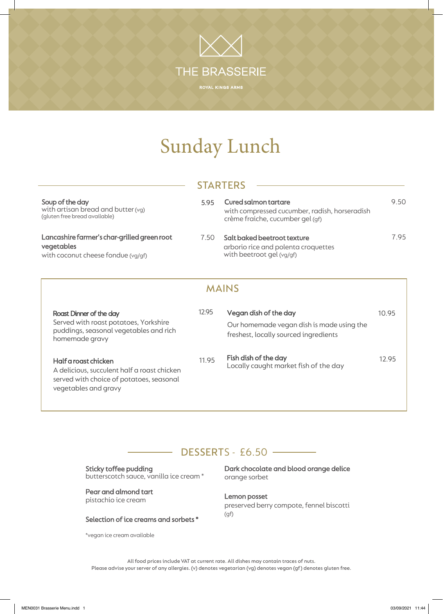# THE BRASSERIE

## Sunday Lunch

#### **STARTERS**

| Soup of the day<br>with artisan bread and butter (vg)<br>(gluten free bread available)          | 5.95 | Cured salmon tartare<br>with compressed cucumber, radish, horseradish<br>crème fraiche, cucumber gel (gf) | 9.50 |  |
|-------------------------------------------------------------------------------------------------|------|-----------------------------------------------------------------------------------------------------------|------|--|
| Lancashire farmer's char-grilled green root<br>vegetables<br>with coconut cheese fondue (vg/gf) | 7.50 | Salt baked beetroot texture<br>arborio rice and polenta croquettes<br>with beetroot gel (vg/gf)           | 7.95 |  |
| MAINS                                                                                           |      |                                                                                                           |      |  |

| Roast Dinner of the day<br>Served with roast potatoes, Yorkshire<br>puddings, seasonal vegetables and rich<br>homemade gravy            | 12.95 | Vegan dish of the day<br>Our homemade vegan dish is made using the<br>freshest, locally sourced ingredients | 10.95 |
|-----------------------------------------------------------------------------------------------------------------------------------------|-------|-------------------------------------------------------------------------------------------------------------|-------|
| Half a roast chicken<br>A delicious, succulent half a roast chicken<br>served with choice of potatoes, seasonal<br>vegetables and gravy | 11.95 | Fish dish of the day<br>Locally caught market fish of the day                                               | 12.95 |

#### DESSERTS - £6.50

Sticky toffee pudding butterscotch sauce, vanilla ice cream \*

Pear and almond tart pistachio ice cream

Selection of ice creams and sorbets \*

\*vegan ice cream available

Dark chocolate and blood orange delice orange sorbet

Lemon posset preserved berry compote, fennel biscotti (gf)

All food prices include VAT at current rate. All dishes may contain traces of nuts. Please advise your server of any allergies. (v) denotes vegetarian (vg) denotes vegan (gf) denotes gluten free.